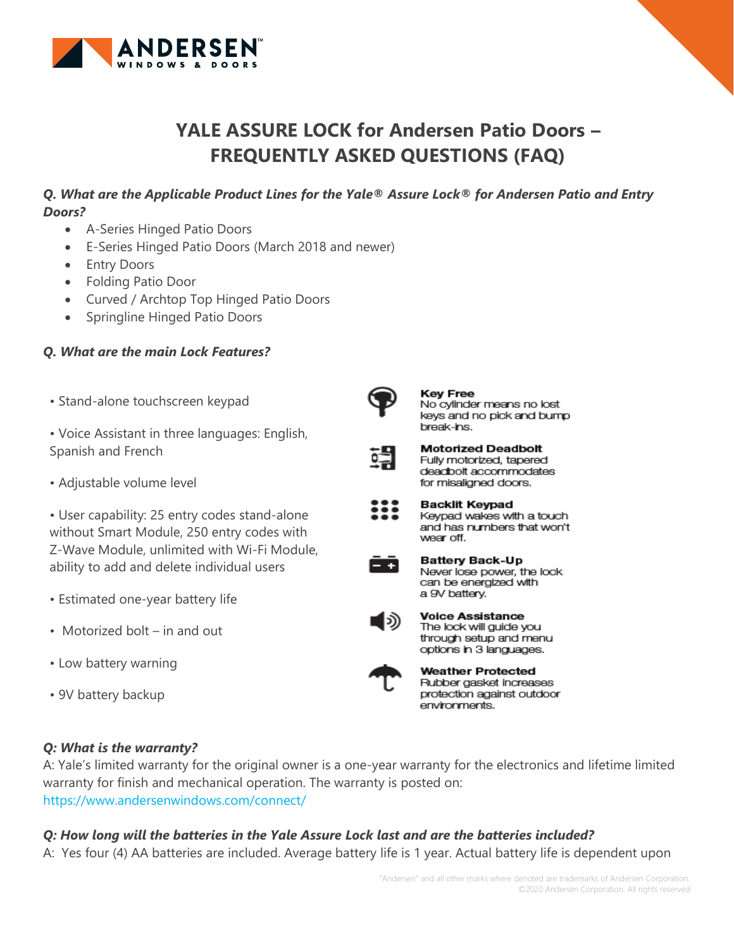

# **YALE ASSURE LOCK for Andersen Patio Doors – FREQUENTLY ASKED QUESTIONS (FAQ)**

m

 $- +$ 

**Key Free** 

break-ins.

wear off.

a 9V battery.

environments.

No cylinder means no lost keys and no pick and bump

Keypad wakes with a touch and has numbers that won't

Never lose power, the lock can be energized with

**Battery Back-Up** 

**Voice Assistance** The lock will guide you through setup and menu options in 3 languages. **Weather Protected** Rubber gasket increases protection against outdoor

**Motorized Deadbolt** Fully motorized, tapered deadbolt accommodates for misaligned doors. **Backlit Keypad** 

### *Q. What are the Applicable Product Lines for the Yale® Assure Lock® for Andersen Patio and Entry Doors?*

- A-Series Hinged Patio Doors
- E-Series Hinged Patio Doors (March 2018 and newer)
- Entry Doors
- Folding Patio Door
- Curved / Archtop Top Hinged Patio Doors
- Springline Hinged Patio Doors

#### *Q. What are the main Lock Features?*

• Stand-alone touchscreen keypad

• Voice Assistant in three languages: English, Spanish and French

• Adjustable volume level

• User capability: 25 entry codes stand-alone without Smart Module, 250 entry codes with Z-Wave Module, unlimited with Wi-Fi Module, ability to add and delete individual users

- Estimated one-year battery life
- Motorized bolt in and out
- Low battery warning
- 9V battery backup

#### *Q: What is the warranty?*

A: Yale's limited warranty for the original owner is a one-year warranty for the electronics and lifetime limited warranty for finish and mechanical operation. The warranty is posted on: https://www.andersenwindows.com/connect/

### *Q: How long will the batteries in the Yale Assure Lock last and are the batteries included?*

A: Yes four (4) AA batteries are included. Average battery life is 1 year. Actual battery life is dependent upon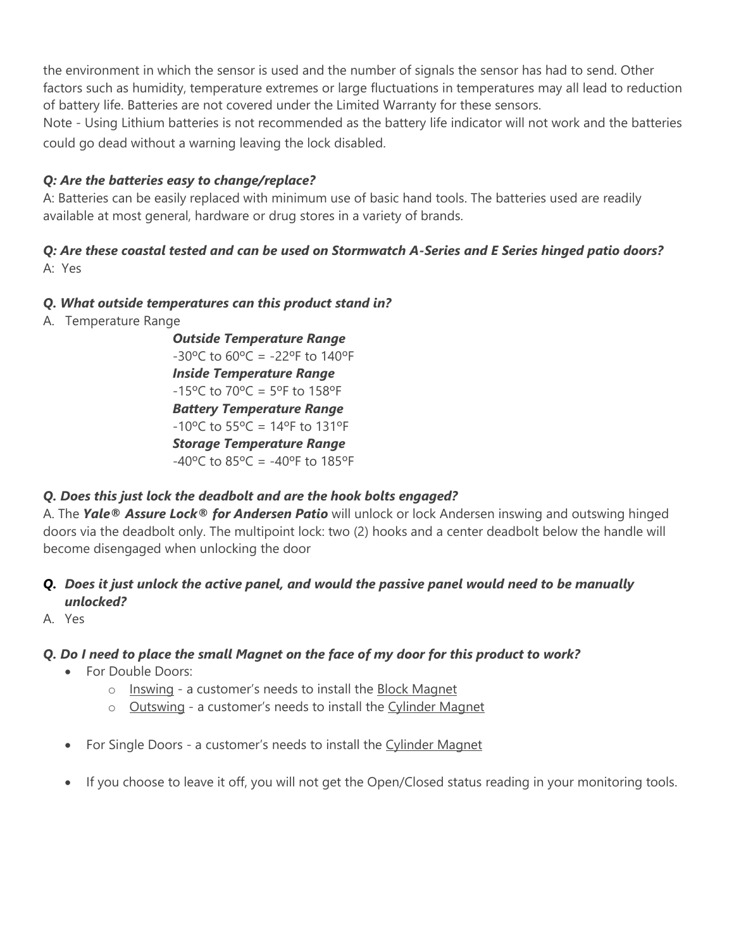the environment in which the sensor is used and the number of signals the sensor has had to send. Other factors such as humidity, temperature extremes or large fluctuations in temperatures may all lead to reduction of battery life. Batteries are not covered under the Limited Warranty for these sensors.

Note - Using Lithium batteries is not recommended as the battery life indicator will not work and the batteries could go dead without a warning leaving the lock disabled.

## *Q: Are the batteries easy to change/replace?*

A: Batteries can be easily replaced with minimum use of basic hand tools. The batteries used are readily available at most general, hardware or drug stores in a variety of brands.

### *Q: Are these coastal tested and can be used on Stormwatch A-Series and E Series hinged patio doors?*  A: Yes

## *Q. What outside temperatures can this product stand in?*

A. Temperature Range

*Outside Temperature Range*  $-30^{\circ}$ C to  $60^{\circ}$ C =  $-22^{\circ}$ F to  $140^{\circ}$ F *Inside Temperature Range*  $-15^{\circ}$ C to  $70^{\circ}$ C =  $5^{\circ}$ F to  $158^{\circ}$ F *Battery Temperature Range*  $-10^{\circ}$ C to 55 $^{\circ}$ C = 14 $^{\circ}$ F to 131 $^{\circ}$ F *Storage Temperature Range*  $-40^{\circ}$ C to  $85^{\circ}$ C =  $-40^{\circ}$ F to  $185^{\circ}$ F

# *Q. Does this just lock the deadbolt and are the hook bolts engaged?*

A. The *Yale® Assure Lock® for Andersen Patio* will unlock or lock Andersen inswing and outswing hinged doors via the deadbolt only. The multipoint lock: two (2) hooks and a center deadbolt below the handle will become disengaged when unlocking the door

## *Q. Does it just unlock the active panel, and would the passive panel would need to be manually unlocked?*

A. Yes

# *Q. Do I need to place the small Magnet on the face of my door for this product to work?*

- For Double Doors:
	- o Inswing a customer's needs to install the Block Magnet
	- o Outswing a customer's needs to install the Cylinder Magnet
- For Single Doors a customer's needs to install the Cylinder Magnet
- If you choose to leave it off, you will not get the Open/Closed status reading in your monitoring tools.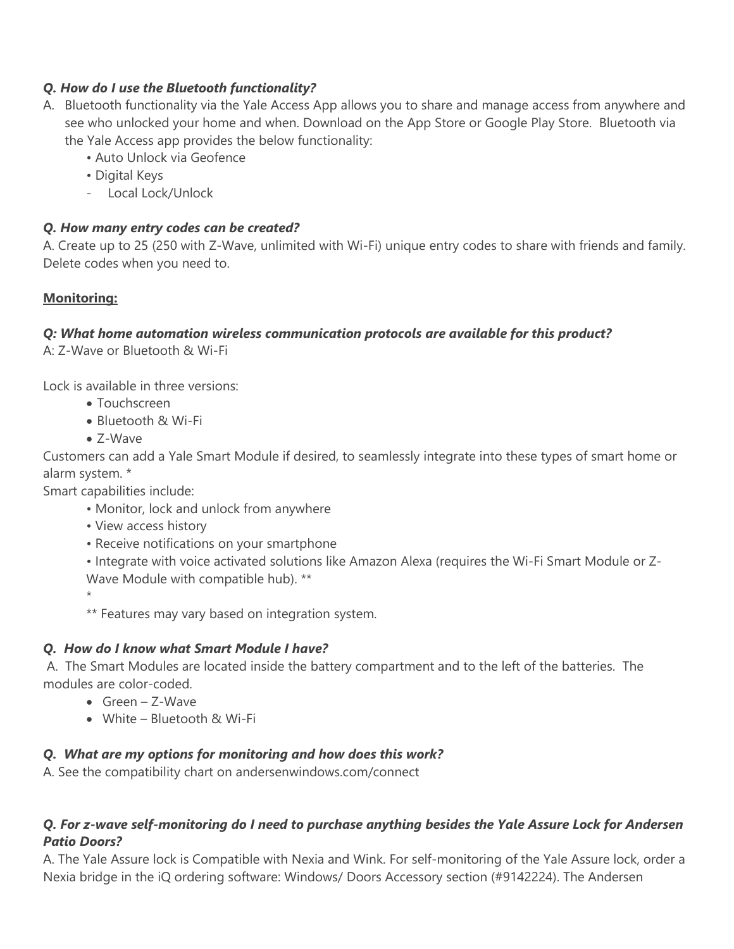### *Q. How do I use the Bluetooth functionality?*

- A. Bluetooth functionality via the Yale Access App allows you to share and manage access from anywhere and see who unlocked your home and when. Download on the App Store or Google Play Store. Bluetooth via the Yale Access app provides the below functionality:
	- Auto Unlock via Geofence
	- Digital Keys
	- Local Lock/Unlock

## *Q. How many entry codes can be created?*

A. Create up to 25 (250 with Z-Wave, unlimited with Wi-Fi) unique entry codes to share with friends and family. Delete codes when you need to.

## **Monitoring:**

## *Q: What home automation wireless communication protocols are available for this product?*

A: Z-Wave or Bluetooth & Wi-Fi

Lock is available in three versions:

- Touchscreen
- Bluetooth & Wi-Fi
- Z-Wave

Customers can add a Yale Smart Module if desired, to seamlessly integrate into these types of smart home or alarm system. \*

Smart capabilities include:

- Monitor, lock and unlock from anywhere
- View access history
- Receive notifications on your smartphone

• Integrate with voice activated solutions like Amazon Alexa (requires the Wi-Fi Smart Module or Z-Wave Module with compatible hub). \*\*

\*

\*\* Features may vary based on integration system.

## *Q. How do I know what Smart Module I have?*

A. The Smart Modules are located inside the battery compartment and to the left of the batteries. The modules are color-coded.

- Green Z-Wave
- White Bluetooth & Wi-Fi

## *Q. What are my options for monitoring and how does this work?*

A. See the compatibility chart on andersenwindows.com/connect

## *Q. For z-wave self-monitoring do I need to purchase anything besides the Yale Assure Lock for Andersen Patio Doors?*

A. The Yale Assure lock is Compatible with Nexia and Wink. For self-monitoring of the Yale Assure lock, order a Nexia bridge in the iQ ordering software: Windows/ Doors Accessory section (#9142224). The Andersen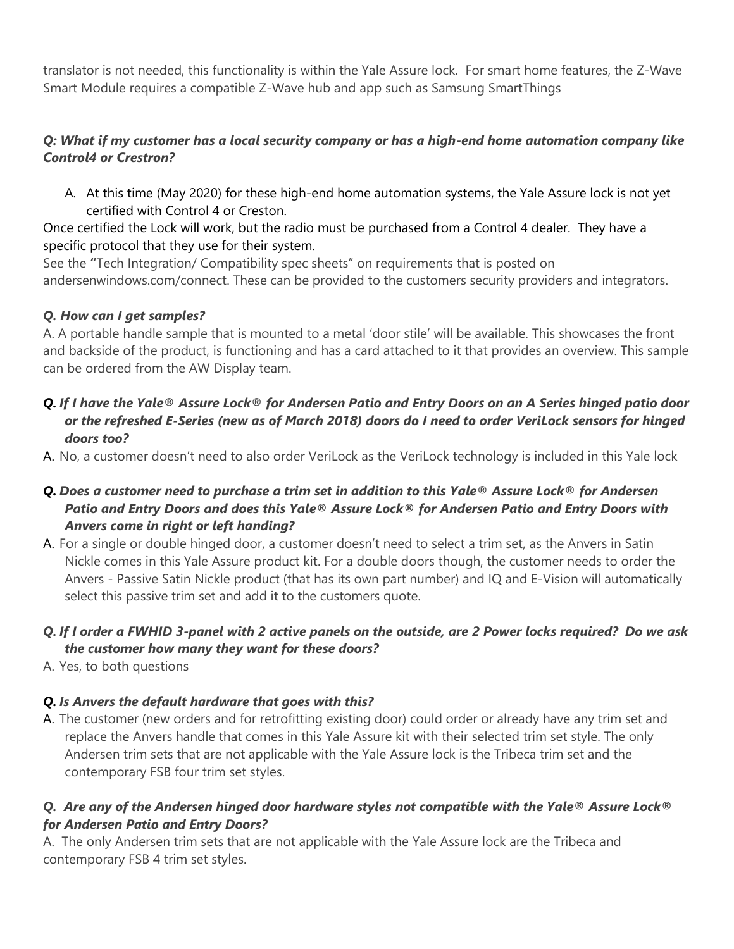translator is not needed, this functionality is within the Yale Assure lock. For smart home features, the Z-Wave Smart Module requires a compatible Z-Wave hub and app such as Samsung SmartThings

## *Q: What if my customer has a local security company or has a high-end home automation company like Control4 or Crestron?*

A. At this time (May 2020) for these high-end home automation systems, the Yale Assure lock is not yet certified with Control 4 or Creston.

Once certified the Lock will work, but the radio must be purchased from a Control 4 dealer. They have a specific protocol that they use for their system.

See the **"**Tech Integration/ Compatibility spec sheets" on requirements that is posted on andersenwindows.com/connect. These can be provided to the customers security providers and integrators.

## *Q. How can I get samples?*

A. A portable handle sample that is mounted to a metal 'door stile' will be available. This showcases the front and backside of the product, is functioning and has a card attached to it that provides an overview. This sample can be ordered from the AW Display team.

## *Q. If I have the Yale® Assure Lock® for Andersen Patio and Entry Doors on an A Series hinged patio door or the refreshed E-Series (new as of March 2018) doors do I need to order VeriLock sensors for hinged doors too?*

A. No, a customer doesn't need to also order VeriLock as the VeriLock technology is included in this Yale lock

## *Q. Does a customer need to purchase a trim set in addition to this Yale® Assure Lock® for Andersen Patio and Entry Doors and does this Yale® Assure Lock® for Andersen Patio and Entry Doors with Anvers come in right or left handing?*

A. For a single or double hinged door, a customer doesn't need to select a trim set, as the Anvers in Satin Nickle comes in this Yale Assure product kit. For a double doors though, the customer needs to order the Anvers - Passive Satin Nickle product (that has its own part number) and IQ and E-Vision will automatically select this passive trim set and add it to the customers quote.

## *Q. If I order a FWHID 3-panel with 2 active panels on the outside, are 2 Power locks required? Do we ask the customer how many they want for these doors?*

A. Yes, to both questions

# *Q. Is Anvers the default hardware that goes with this?*

A. The customer (new orders and for retrofitting existing door) could order or already have any trim set and replace the Anvers handle that comes in this Yale Assure kit with their selected trim set style. The only Andersen trim sets that are not applicable with the Yale Assure lock is the Tribeca trim set and the contemporary FSB four trim set styles.

## *Q. Are any of the Andersen hinged door hardware styles not compatible with the Yale® Assure Lock® for Andersen Patio and Entry Doors?*

A. The only Andersen trim sets that are not applicable with the Yale Assure lock are the Tribeca and contemporary FSB 4 trim set styles.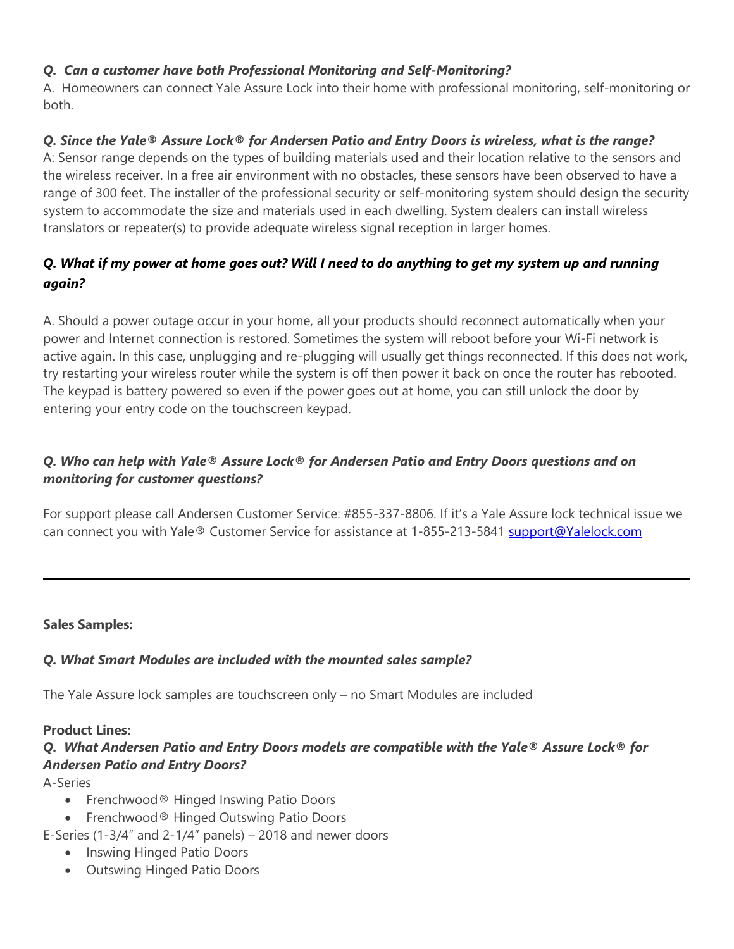## *Q. Can a customer have both Professional Monitoring and Self-Monitoring?*

A. Homeowners can connect Yale Assure Lock into their home with professional monitoring, self-monitoring or both.

## *Q. Since the Yale® Assure Lock® for Andersen Patio and Entry Doors is wireless, what is the range?*

A: Sensor range depends on the types of building materials used and their location relative to the sensors and the wireless receiver. In a free air environment with no obstacles, these sensors have been observed to have a range of 300 feet. The installer of the professional security or self-monitoring system should design the security system to accommodate the size and materials used in each dwelling. System dealers can install wireless translators or repeater(s) to provide adequate wireless signal reception in larger homes.

# *Q. What if my power at home goes out? Will I need to do anything to get my system up and running again?*

A. Should a power outage occur in your home, all your products should reconnect automatically when your power and Internet connection is restored. Sometimes the system will reboot before your Wi-Fi network is active again. In this case, unplugging and re-plugging will usually get things reconnected. If this does not work, try restarting your wireless router while the system is off then power it back on once the router has rebooted. The keypad is battery powered so even if the power goes out at home, you can still unlock the door by entering your entry code on the touchscreen keypad.

## *Q. Who can help with Yale® Assure Lock® for Andersen Patio and Entry Doors questions and on monitoring for customer questions?*

For support please call Andersen Customer Service: #855-337-8806. If it's a Yale Assure lock technical issue we can connect you with Yale® Customer Service for assistance at 1-855-213-5841 [support@Yalelock.com](mailto:Support.yalehome@assaabloy.com)

### **Sales Samples:**

### *Q. What Smart Modules are included with the mounted sales sample?*

The Yale Assure lock samples are touchscreen only – no Smart Modules are included

### **Product Lines:**

# *Q. What Andersen Patio and Entry Doors models are compatible with the Yale® Assure Lock® for Andersen Patio and Entry Doors?*

A-Series

- Frenchwood® Hinged Inswing Patio Doors
- Frenchwood® Hinged Outswing Patio Doors
- E-Series (1-3/4" and 2-1/4" panels)  $-$  2018 and newer doors
	- Inswing Hinged Patio Doors
	- Outswing Hinged Patio Doors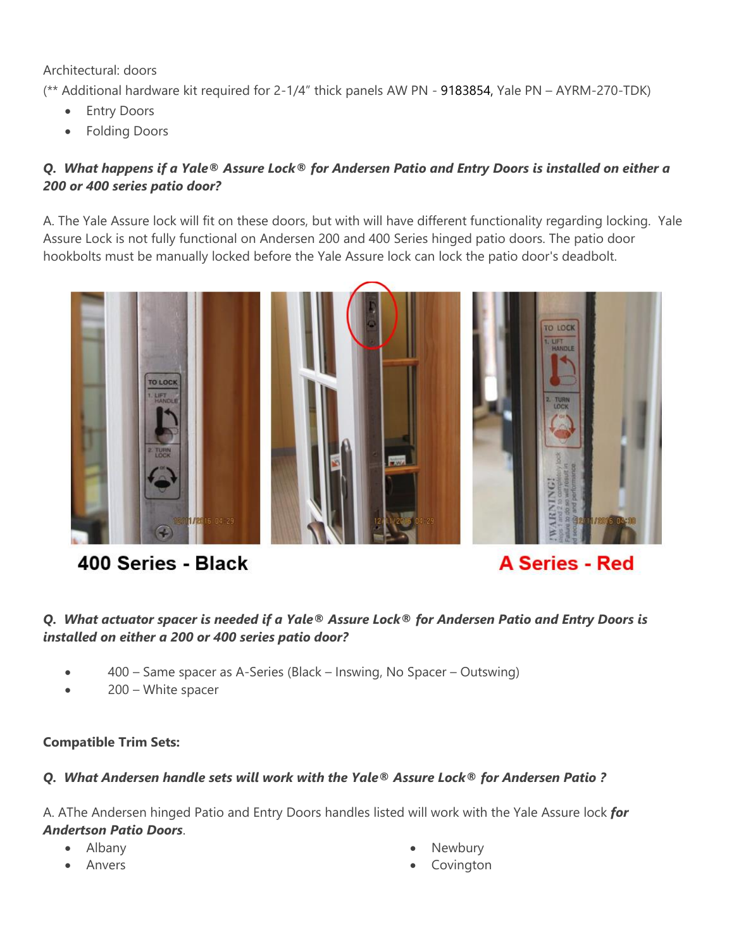Architectural: doors

(\*\* Additional hardware kit required for 2-1/4" thick panels AW PN - 9183854, Yale PN – AYRM-270-TDK)

- Entry Doors
- Folding Doors

## *Q. What happens if a Yale® Assure Lock® for Andersen Patio and Entry Doors is installed on either a 200 or 400 series patio door?*

A. The Yale Assure lock will fit on these doors, but with will have different functionality regarding locking. Yale Assure Lock is not fully functional on Andersen 200 and 400 Series hinged patio doors. The patio door hookbolts must be manually locked before the Yale Assure lock can lock the patio door's deadbolt.



# 400 Series - Black

**A Series - Red** 

## *Q. What actuator spacer is needed if a Yale® Assure Lock® for Andersen Patio and Entry Doors is installed on either a 200 or 400 series patio door?*

- 400 Same spacer as A-Series (Black Inswing, No Spacer Outswing)
- 200 White spacer

### **Compatible Trim Sets:**

### *Q. What Andersen handle sets will work with the Yale® Assure Lock® for Andersen Patio ?*

A. AThe Andersen hinged Patio and Entry Doors handles listed will work with the Yale Assure lock *for Andertson Patio Doors*.

- Albany
- Anvers
- Newbury
- **Covington**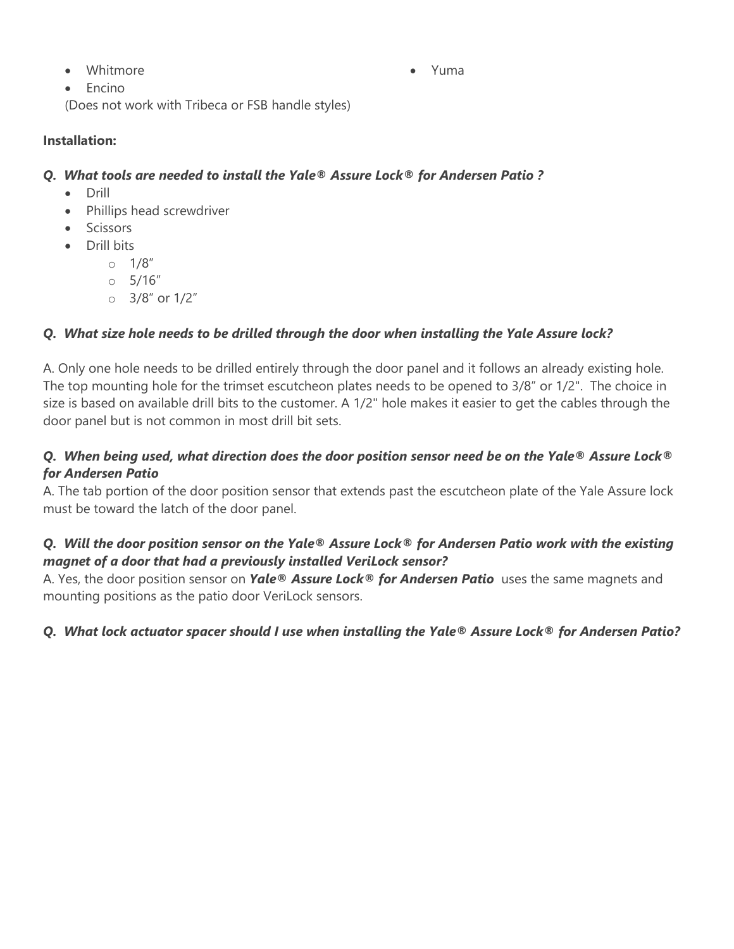• Whitmore

• Yuma

• Encino

(Does not work with Tribeca or FSB handle styles)

### **Installation:**

### *Q. What tools are needed to install the Yale® Assure Lock® for Andersen Patio ?*

- Drill
- Phillips head screwdriver
- Scissors
- Drill bits
	- $0.1/8''$
	- o 5/16"
	- o 3/8" or 1/2"

## *Q. What size hole needs to be drilled through the door when installing the Yale Assure lock?*

A. Only one hole needs to be drilled entirely through the door panel and it follows an already existing hole. The top mounting hole for the trimset escutcheon plates needs to be opened to 3/8" or 1/2". The choice in size is based on available drill bits to the customer. A 1/2" hole makes it easier to get the cables through the door panel but is not common in most drill bit sets.

## *Q. When being used, what direction does the door position sensor need be on the Yale® Assure Lock® for Andersen Patio*

A. The tab portion of the door position sensor that extends past the escutcheon plate of the Yale Assure lock must be toward the latch of the door panel.

## *Q. Will the door position sensor on the Yale® Assure Lock® for Andersen Patio work with the existing magnet of a door that had a previously installed VeriLock sensor?*

A. Yes, the door position sensor on *Yale® Assure Lock® for Andersen Patio* uses the same magnets and mounting positions as the patio door VeriLock sensors.

## *Q. What lock actuator spacer should I use when installing the Yale® Assure Lock® for Andersen Patio?*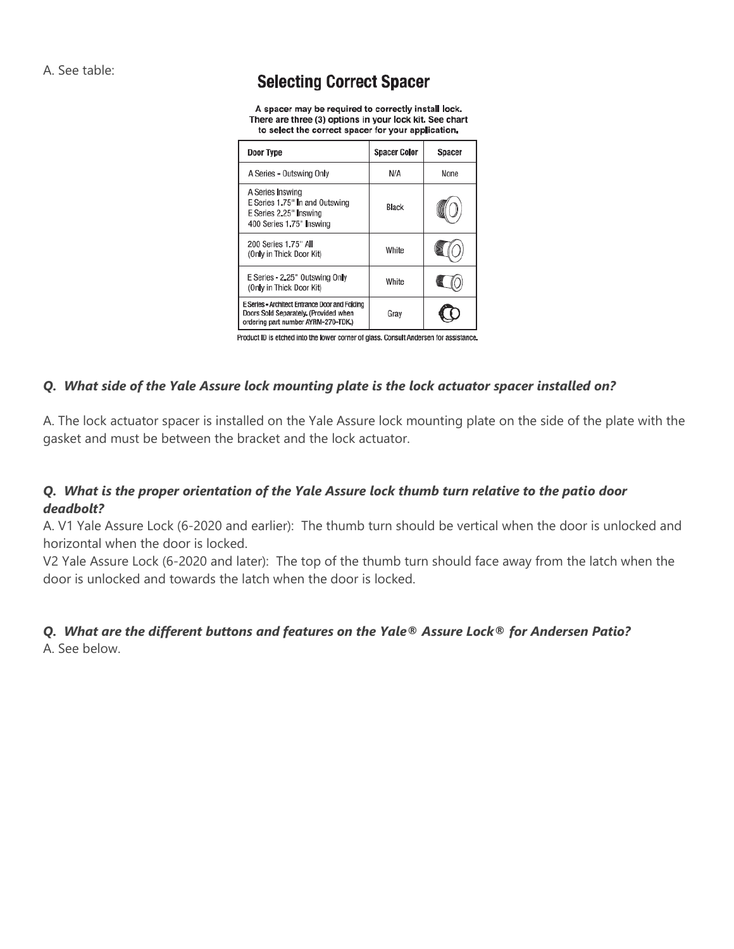A. See table:

# **Selecting Correct Spacer**

A spacer may be required to correctly install lock. There are three (3) options in your lock kit. See chart to select the correct spacer for your application.

| Door Type                                                                                                                      | <b>Spacer Color</b> | Spacer |
|--------------------------------------------------------------------------------------------------------------------------------|---------------------|--------|
| A Series - Outswing Only                                                                                                       | N/A                 | None   |
| A Series Inswing<br>E Series 1.75" In and Outswing<br>E Series 2.25" Inswing<br>400 Series 1.75" Inswing                       | <b>Black</b>        |        |
| 200 Series 1.75" All<br>(Only in Thick Door Kit)                                                                               | White               |        |
| E Series - 2.25" Outswing Only<br>(Only in Thick Door Kit)                                                                     | White               |        |
| E Series - Architect Entrance Door and Folding<br>Doors Sold Separately. (Provided when<br>ordering part number AYRM-270-TDK.) | Grav                |        |

Product ID is etched into the lower corner of glass. Consult Andersen for assistance.

#### *Q. What side of the Yale Assure lock mounting plate is the lock actuator spacer installed on?*

A. The lock actuator spacer is installed on the Yale Assure lock mounting plate on the side of the plate with the gasket and must be between the bracket and the lock actuator.

### *Q. What is the proper orientation of the Yale Assure lock thumb turn relative to the patio door deadbolt?*

A. V1 Yale Assure Lock (6-2020 and earlier): The thumb turn should be vertical when the door is unlocked and horizontal when the door is locked.

V2 Yale Assure Lock (6-2020 and later): The top of the thumb turn should face away from the latch when the door is unlocked and towards the latch when the door is locked.

# *Q. What are the different buttons and features on the Yale® Assure Lock® for Andersen Patio?*

A. See below.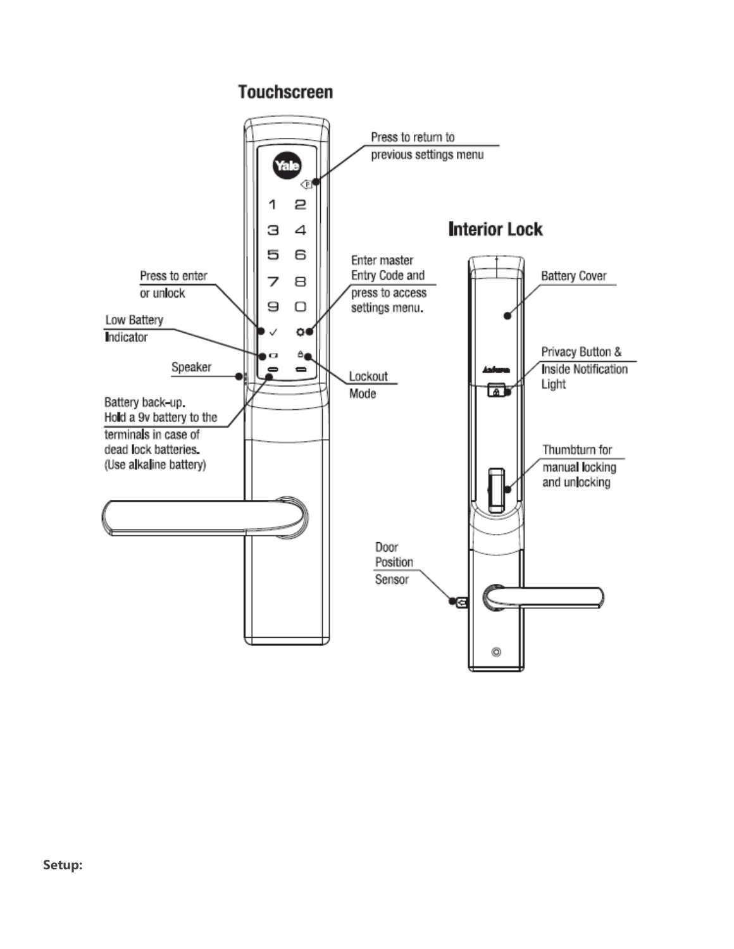# **Touchscreen**

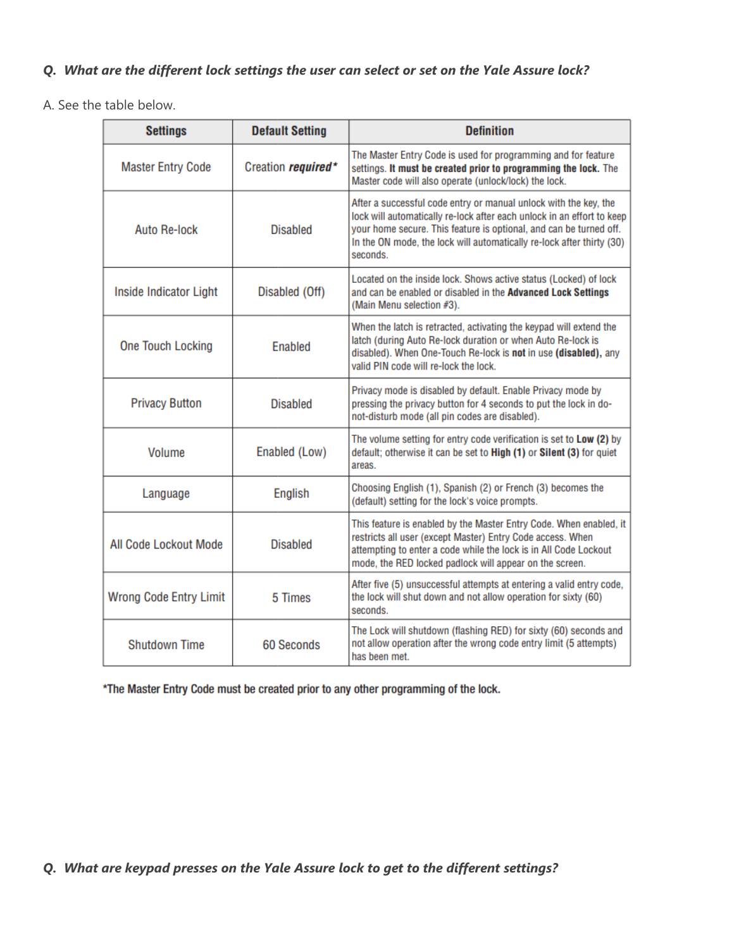## *Q. What are the different lock settings the user can select or set on the Yale Assure lock?*

A. See the table below.

| <b>Settings</b>               | <b>Default Setting</b>     | <b>Definition</b>                                                                                                                                                                                                                                                                                     |
|-------------------------------|----------------------------|-------------------------------------------------------------------------------------------------------------------------------------------------------------------------------------------------------------------------------------------------------------------------------------------------------|
| <b>Master Entry Code</b>      | Creation <i>required</i> * | The Master Entry Code is used for programming and for feature<br>settings. It must be created prior to programming the lock. The<br>Master code will also operate (unlock/lock) the lock.                                                                                                             |
| <b>Auto Re-lock</b>           | <b>Disabled</b>            | After a successful code entry or manual unlock with the key, the<br>lock will automatically re-lock after each unlock in an effort to keep<br>your home secure. This feature is optional, and can be turned off.<br>In the ON mode, the lock will automatically re-lock after thirty (30)<br>seconds. |
| Inside Indicator Light        | Disabled (Off)             | Located on the inside lock. Shows active status (Locked) of lock<br>and can be enabled or disabled in the Advanced Lock Settings<br>(Main Menu selection #3).                                                                                                                                         |
| <b>One Touch Locking</b>      | <b>Enabled</b>             | When the latch is retracted, activating the keypad will extend the<br>latch (during Auto Re-lock duration or when Auto Re-lock is<br>disabled). When One-Touch Re-lock is not in use (disabled), any<br>valid PIN code will re-lock the lock.                                                         |
| <b>Privacy Button</b>         | <b>Disabled</b>            | Privacy mode is disabled by default. Enable Privacy mode by<br>pressing the privacy button for 4 seconds to put the lock in do-<br>not-disturb mode (all pin codes are disabled).                                                                                                                     |
| <b>Volume</b>                 | Enabled (Low)              | The volume setting for entry code verification is set to Low (2) by<br>default; otherwise it can be set to High (1) or Silent (3) for quiet<br>areas.                                                                                                                                                 |
| Language                      | <b>English</b>             | Choosing English (1), Spanish (2) or French (3) becomes the<br>(default) setting for the lock's voice prompts.                                                                                                                                                                                        |
| All Code Lockout Mode         | <b>Disabled</b>            | This feature is enabled by the Master Entry Code. When enabled, it<br>restricts all user (except Master) Entry Code access. When<br>attempting to enter a code while the lock is in All Code Lockout<br>mode, the RED locked padlock will appear on the screen.                                       |
| <b>Wrong Code Entry Limit</b> | 5 Times                    | After five (5) unsuccessful attempts at entering a valid entry code,<br>the lock will shut down and not allow operation for sixty (60)<br>seconds.                                                                                                                                                    |
| <b>Shutdown Time</b>          | <b>60 Seconds</b>          | The Lock will shutdown (flashing RED) for sixty (60) seconds and<br>not allow operation after the wrong code entry limit (5 attempts)<br>has been met.                                                                                                                                                |

\*The Master Entry Code must be created prior to any other programming of the lock.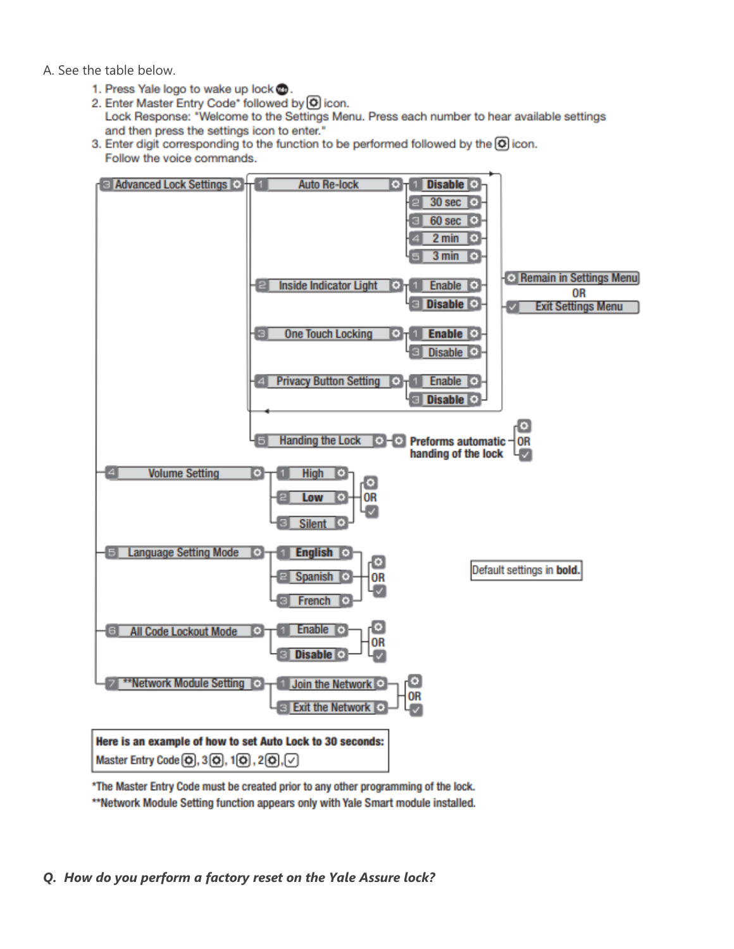A. See the table below.

- 1. Press Yale logo to wake up lock ...
- 2. Enter Master Entry Code\* followed by O icon. Lock Response: "Welcome to the Settings Menu. Press each number to hear available settings and then press the settings icon to enter."
- 3. Enter digit corresponding to the function to be performed followed by the O icon. Follow the voice commands.



\*The Master Entry Code must be created prior to any other programming of the lock. \*\*Network Module Setting function appears only with Yale Smart module installed.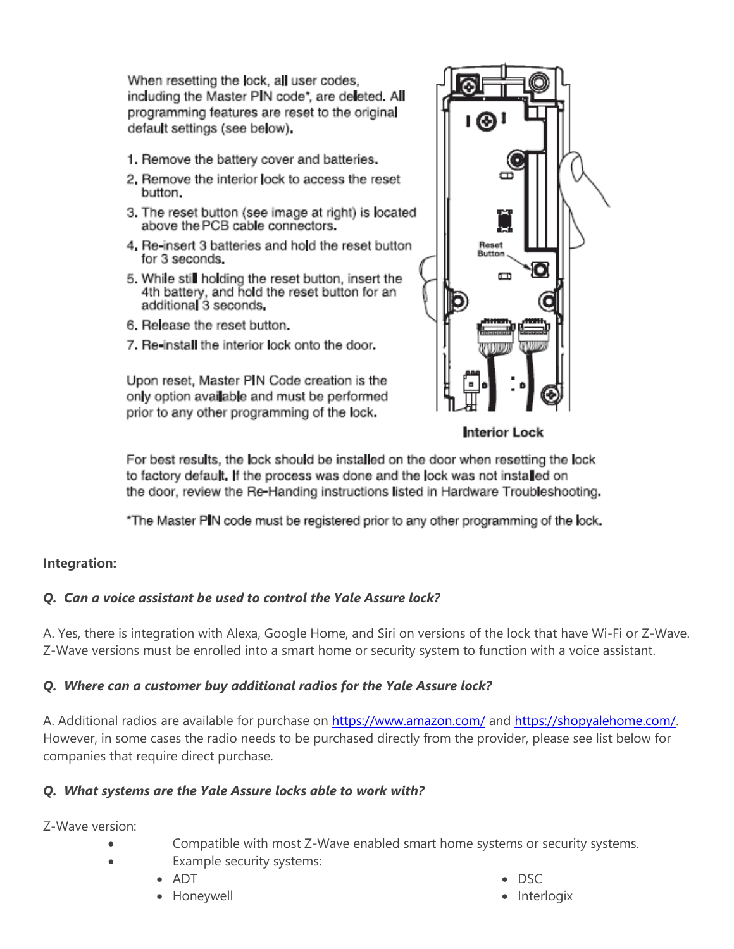When resetting the lock, all user codes, including the Master PIN code\*, are deleted. All programming features are reset to the original default settings (see below).

- 1. Remove the battery cover and batteries.
- 2. Remove the interior lock to access the reset button.
- 3. The reset button (see image at right) is located above the PCB cable connectors.
- 4. Re-insert 3 batteries and hold the reset button for 3 seconds.
- 5. While still holding the reset button, insert the 4th battery, and hold the reset button for an additional 3 seconds.
- 6. Release the reset button.
- 7. Re-install the interior lock onto the door.

Upon reset, Master PIN Code creation is the only option available and must be performed prior to any other programming of the lock.



Interior Lock

For best results, the lock should be installed on the door when resetting the lock to factory default. If the process was done and the lock was not installed on the door, review the Re-Handing instructions listed in Hardware Troubleshooting.

\*The Master PIN code must be registered prior to any other programming of the lock.

### **Integration:**

### *Q. Can a voice assistant be used to control the Yale Assure lock?*

A. Yes, there is integration with Alexa, Google Home, and Siri on versions of the lock that have Wi-Fi or Z-Wave. Z-Wave versions must be enrolled into a smart home or security system to function with a voice assistant.

### *Q. Where can a customer buy additional radios for the Yale Assure lock?*

A. Additional radios are available for purchase on<https://www.amazon.com/> and [https://shopyalehome.com/.](https://shopyalehome.com/) However, in some cases the radio needs to be purchased directly from the provider, please see list below for companies that require direct purchase.

### *Q. What systems are the Yale Assure locks able to work with?*

Z-Wave version:

- Compatible with most Z-Wave enabled smart home systems or security systems.
	- Example security systems:
		- ADT
		- Honeywell
- DSC
- Interlogix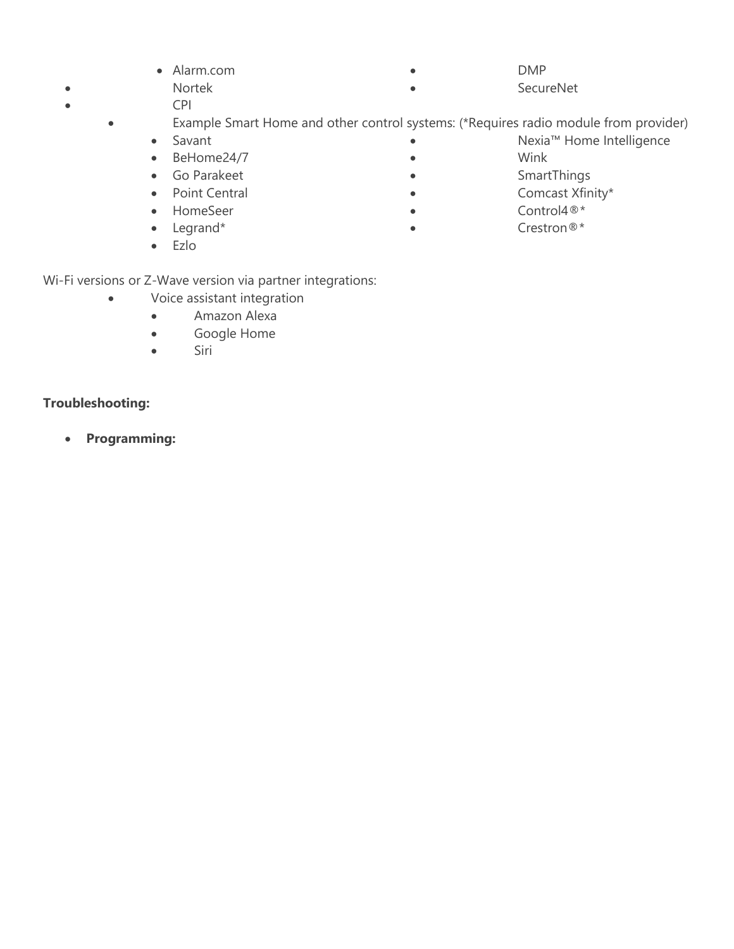|           | • Alarm.com | <b>DMP</b> |
|-----------|-------------|------------|
| $\bullet$ | Nortek      | SecureNet  |

- CPI
	- Example Smart Home and other control systems: (\*Requires radio module from provider)
		- Savant
		- BeHome24/7
		- Go Parakeet
		- Point Central
		- HomeSeer
		- Legrand\*
		- Ezlo

Wi-Fi versions or Z-Wave version via partner integrations:

- Voice assistant integration
	- Amazon Alexa
	- Google Home
	- Siri

# **Troubleshooting:**

• **Programming:**

- Nexia™ Home Intelligence
- Wink
- SmartThings
- Comcast Xfinity\*
- Control4<sup>®\*</sup>
- Crestron®\*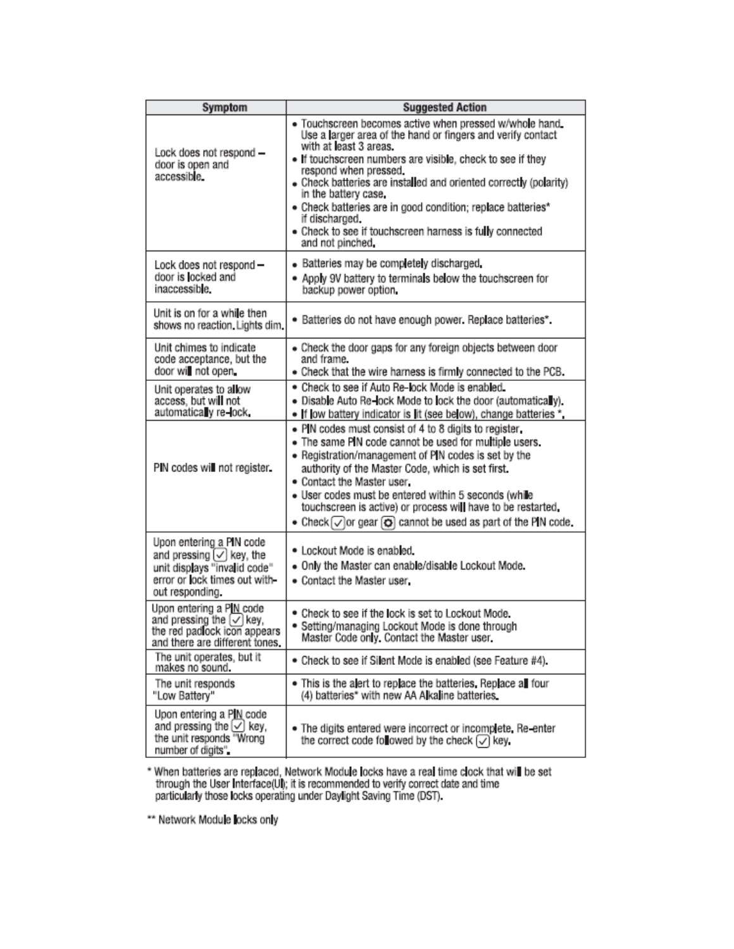| Symptom                                                                                                                                              | <b>Suggested Action</b>                                                                                                                                                                                                                                                                                                                                                                                                                                                                              |
|------------------------------------------------------------------------------------------------------------------------------------------------------|------------------------------------------------------------------------------------------------------------------------------------------------------------------------------------------------------------------------------------------------------------------------------------------------------------------------------------------------------------------------------------------------------------------------------------------------------------------------------------------------------|
| Lock does not respond -<br>door is open and<br>accessible.                                                                                           | · Touchscreen becomes active when pressed w/whole hand<br>Use a larger area of the hand or fingers and verify contact<br>with at least 3 areas.<br>. If touchscreen numbers are visible, check to see if they<br>respond when pressed.<br>• Check batteries are installed and oriented correctly (polarity)<br>in the battery case.<br>• Check batteries are in good condition; replace batteries*<br>if discharged.<br>• Check to see if touchscreen harness is fully connected<br>and not pinched, |
| Lock does not respond-<br>door is locked and<br>inaccessible.                                                                                        | • Batteries may be completely discharged.<br>. Apply 9V battery to terminals below the touchscreen for<br>backup power option.                                                                                                                                                                                                                                                                                                                                                                       |
| Unit is on for a while then<br>shows no reaction. Lights dim.                                                                                        | · Batteries do not have enough power. Replace batteries*.                                                                                                                                                                                                                                                                                                                                                                                                                                            |
| Unit chimes to indicate<br>code acceptance, but the<br>door will not open.                                                                           | • Check the door gaps for any foreign objects between door<br>and frame.<br>. Check that the wire harness is firmly connected to the PCB.                                                                                                                                                                                                                                                                                                                                                            |
| Unit operates to allow<br>access, but wi <b>ll</b> not<br>automatica y re-lock.                                                                      | . Check to see if Auto Re-lock Mode is enabled.<br>. Disable Auto Re-lock Mode to lock the door (automatically).<br>• If low battery indicator is lit (see below), change batteries *,                                                                                                                                                                                                                                                                                                               |
| PIN codes will not register.                                                                                                                         | . PIN codes must consist of 4 to 8 digits to register,<br>• The same PIN code cannot be used for multiple users.<br>• Registration/management of PIN codes is set by the<br>authority of the Master Code, which is set first.<br>. Contact the Master user.<br>· User codes must be entered within 5 seconds (while<br>touchscreen is active) or process will have to be restarted.<br>• Check $\bigcirc$ or gear $\bigcirc$ cannot be used as part of the PIN code.                                 |
| Upon entering a PIN code<br>and pressing $[\checkmark]$ key, the<br>unit displays "invalid code"<br>error or lock times out with-<br>out responding. | • Lockout Mode is enabled.<br>. Only the Master can enable/disable Lockout Mode.<br>. Contact the Master user.                                                                                                                                                                                                                                                                                                                                                                                       |
| Upon entering a PIN code<br>and pressing the $\lfloor \checkmark \rfloor$ key,<br>the red padfock icon appears<br>and there are different tones.     | • Check to see if the lock is set to Lockout Mode.<br>· Setting/managing Lockout Mode is done through<br>Master Code only, Contact the Master user,                                                                                                                                                                                                                                                                                                                                                  |
| The unit operates, but it<br>makes no sound.                                                                                                         | • Check to see if Silent Mode is enabled (see Feature #4).                                                                                                                                                                                                                                                                                                                                                                                                                                           |
| The unit responds<br>"Low Battery"                                                                                                                   | . This is the alert to replace the batteries. Replace all four<br>(4) batteries* with new AA Alkaline batteries                                                                                                                                                                                                                                                                                                                                                                                      |
| Upon entering a PIN code<br>and pressing the √ key,<br>the unit responds "Wrong<br>number of digits".                                                | . The digits entered were incorrect or incomplete. Re-enter<br>the correct code followed by the check $\lbrack\hspace{0.8ex}\sqrt\rbrack$ key.                                                                                                                                                                                                                                                                                                                                                       |

\* When batteries are replaced, Network Module locks have a real time clock that will be set<br>through the User Interface(UI); it is recommended to verify correct date and time<br>particularly those locks operating under Dayligh

\*\* Network Module locks only